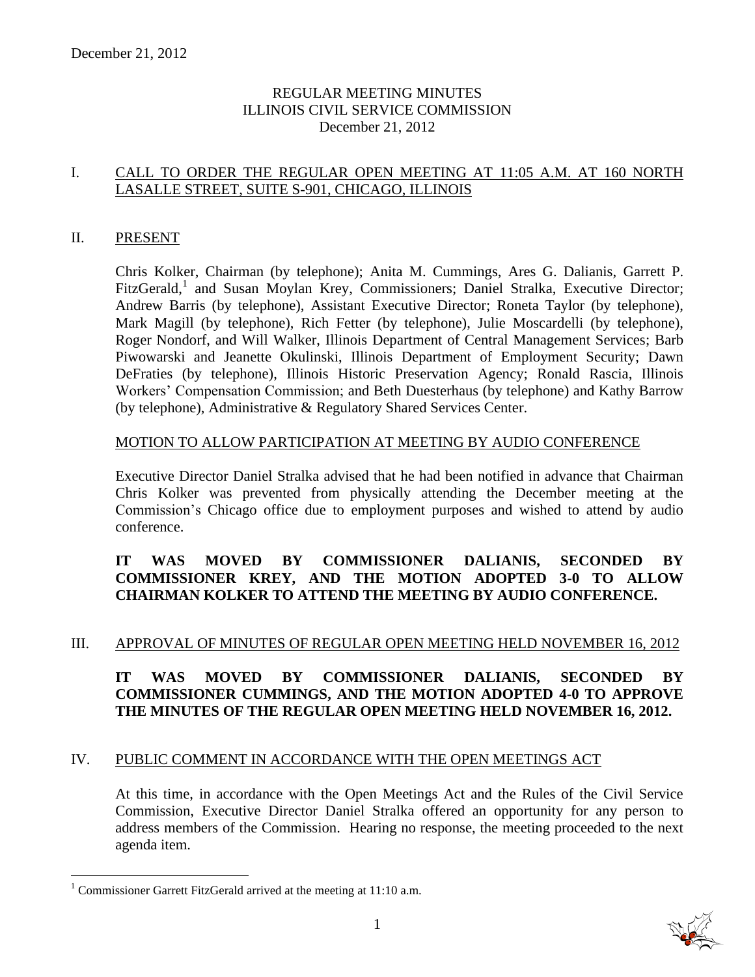# REGULAR MEETING MINUTES ILLINOIS CIVIL SERVICE COMMISSION December 21, 2012

# I. CALL TO ORDER THE REGULAR OPEN MEETING AT 11:05 A.M. AT 160 NORTH LASALLE STREET, SUITE S-901, CHICAGO, ILLINOIS

#### II. PRESENT

Chris Kolker, Chairman (by telephone); Anita M. Cummings, Ares G. Dalianis, Garrett P. FitzGerald,<sup>1</sup> and Susan Moylan Krey, Commissioners; Daniel Stralka, Executive Director; Andrew Barris (by telephone), Assistant Executive Director; Roneta Taylor (by telephone), Mark Magill (by telephone), Rich Fetter (by telephone), Julie Moscardelli (by telephone), Roger Nondorf, and Will Walker, Illinois Department of Central Management Services; Barb Piwowarski and Jeanette Okulinski, Illinois Department of Employment Security; Dawn DeFraties (by telephone), Illinois Historic Preservation Agency; Ronald Rascia, Illinois Workers' Compensation Commission; and Beth Duesterhaus (by telephone) and Kathy Barrow (by telephone), Administrative & Regulatory Shared Services Center.

#### MOTION TO ALLOW PARTICIPATION AT MEETING BY AUDIO CONFERENCE

Executive Director Daniel Stralka advised that he had been notified in advance that Chairman Chris Kolker was prevented from physically attending the December meeting at the Commission's Chicago office due to employment purposes and wished to attend by audio conference.

# **IT WAS MOVED BY COMMISSIONER DALIANIS, SECONDED BY COMMISSIONER KREY, AND THE MOTION ADOPTED 3-0 TO ALLOW CHAIRMAN KOLKER TO ATTEND THE MEETING BY AUDIO CONFERENCE.**

#### III. APPROVAL OF MINUTES OF REGULAR OPEN MEETING HELD NOVEMBER 16, 2012

# **IT WAS MOVED BY COMMISSIONER DALIANIS, SECONDED BY COMMISSIONER CUMMINGS, AND THE MOTION ADOPTED 4-0 TO APPROVE THE MINUTES OF THE REGULAR OPEN MEETING HELD NOVEMBER 16, 2012.**

# IV. PUBLIC COMMENT IN ACCORDANCE WITH THE OPEN MEETINGS ACT

At this time, in accordance with the Open Meetings Act and the Rules of the Civil Service Commission, Executive Director Daniel Stralka offered an opportunity for any person to address members of the Commission. Hearing no response, the meeting proceeded to the next agenda item.

 $\overline{a}$ 



<sup>&</sup>lt;sup>1</sup> Commissioner Garrett FitzGerald arrived at the meeting at  $11:10$  a.m.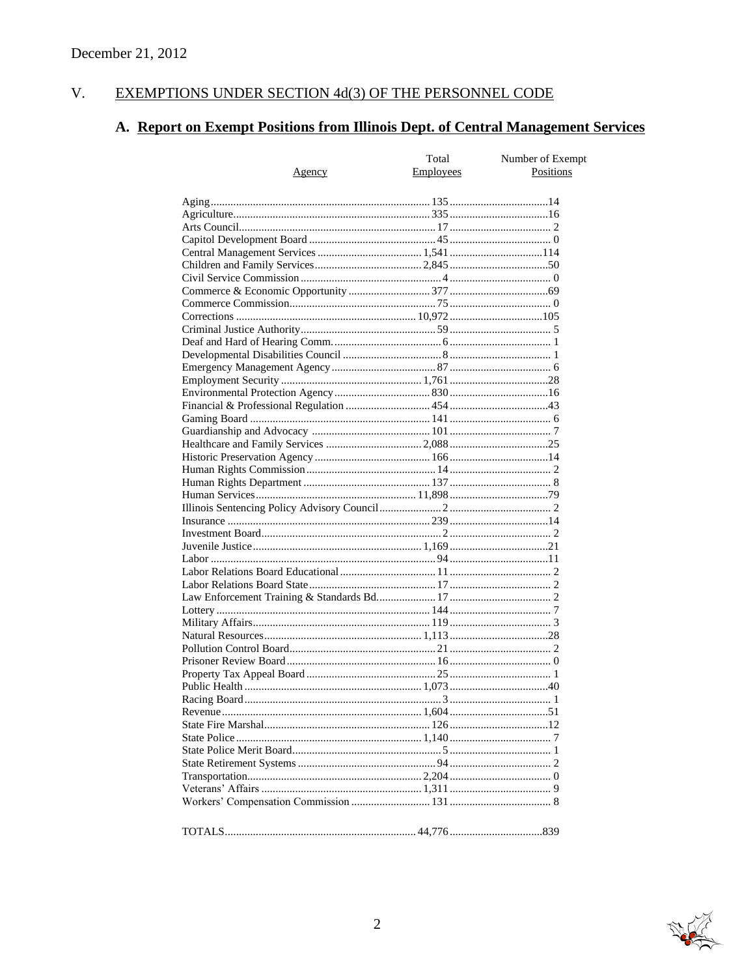#### $V<sub>r</sub>$ EXEMPTIONS UNDER SECTION 4d(3) OF THE PERSONNEL CODE

# A. Report on Exempt Positions from Illinois Dept. of Central Management Services

|        | Total            | Number of Exempt |
|--------|------------------|------------------|
| Agency | <b>Employees</b> | Positions        |
|        |                  |                  |
|        |                  |                  |
|        |                  |                  |
|        |                  |                  |
|        |                  |                  |
|        |                  |                  |
|        |                  |                  |
|        |                  |                  |
|        |                  |                  |
|        |                  |                  |
|        |                  |                  |
|        |                  |                  |
|        |                  |                  |
|        |                  |                  |
|        |                  |                  |
|        |                  |                  |
|        |                  |                  |
|        |                  |                  |
|        |                  |                  |
|        |                  |                  |
|        |                  |                  |
|        |                  |                  |
|        |                  |                  |
|        |                  |                  |
|        |                  |                  |
|        |                  |                  |
|        |                  |                  |
|        |                  |                  |
|        |                  |                  |
|        |                  |                  |
|        |                  |                  |
|        |                  |                  |
|        |                  |                  |
|        |                  |                  |
|        |                  |                  |
|        |                  |                  |
|        |                  |                  |
|        |                  |                  |
|        |                  |                  |
|        |                  |                  |
|        |                  |                  |
|        |                  |                  |
|        |                  |                  |
|        |                  |                  |
|        |                  |                  |
|        |                  |                  |
|        |                  |                  |
|        |                  |                  |
|        |                  |                  |
|        |                  |                  |
|        |                  |                  |
|        |                  |                  |

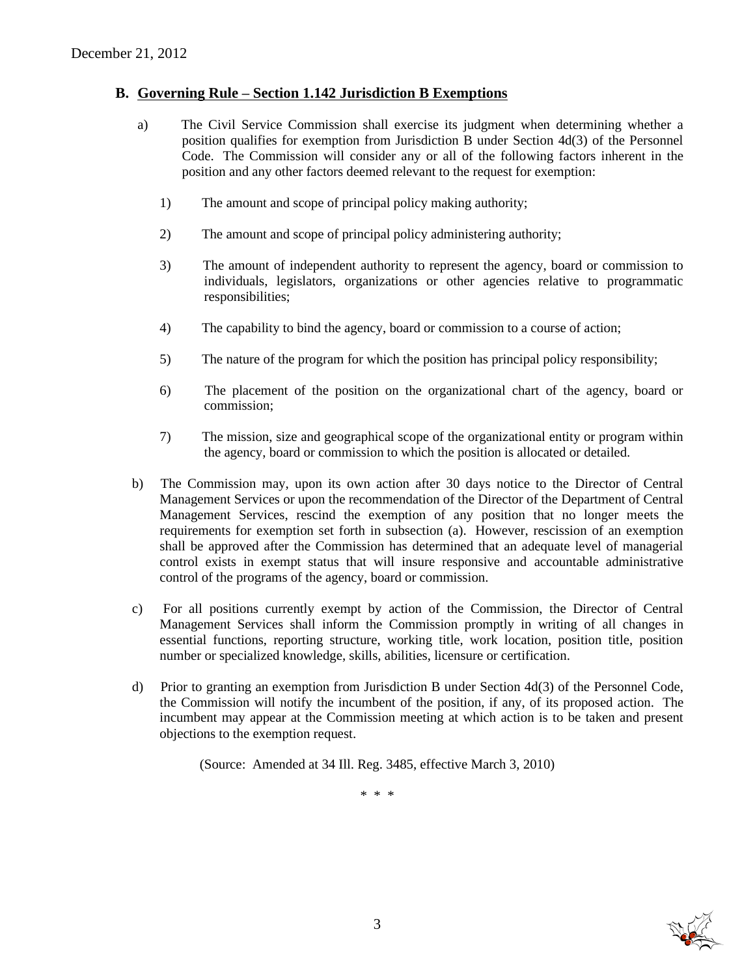#### **B. Governing Rule – Section 1.142 Jurisdiction B Exemptions**

- a) The Civil Service Commission shall exercise its judgment when determining whether a position qualifies for exemption from Jurisdiction B under Section 4d(3) of the Personnel Code. The Commission will consider any or all of the following factors inherent in the position and any other factors deemed relevant to the request for exemption:
	- 1) The amount and scope of principal policy making authority;
	- 2) The amount and scope of principal policy administering authority;
	- 3) The amount of independent authority to represent the agency, board or commission to individuals, legislators, organizations or other agencies relative to programmatic responsibilities;
	- 4) The capability to bind the agency, board or commission to a course of action;
	- 5) The nature of the program for which the position has principal policy responsibility;
	- 6) The placement of the position on the organizational chart of the agency, board or commission;
	- 7) The mission, size and geographical scope of the organizational entity or program within the agency, board or commission to which the position is allocated or detailed.
- b) The Commission may, upon its own action after 30 days notice to the Director of Central Management Services or upon the recommendation of the Director of the Department of Central Management Services, rescind the exemption of any position that no longer meets the requirements for exemption set forth in subsection (a). However, rescission of an exemption shall be approved after the Commission has determined that an adequate level of managerial control exists in exempt status that will insure responsive and accountable administrative control of the programs of the agency, board or commission.
- c) For all positions currently exempt by action of the Commission, the Director of Central Management Services shall inform the Commission promptly in writing of all changes in essential functions, reporting structure, working title, work location, position title, position number or specialized knowledge, skills, abilities, licensure or certification.
- d) Prior to granting an exemption from Jurisdiction B under Section 4d(3) of the Personnel Code, the Commission will notify the incumbent of the position, if any, of its proposed action. The incumbent may appear at the Commission meeting at which action is to be taken and present objections to the exemption request.

(Source: Amended at 34 Ill. Reg. 3485, effective March 3, 2010)

\* \* \*

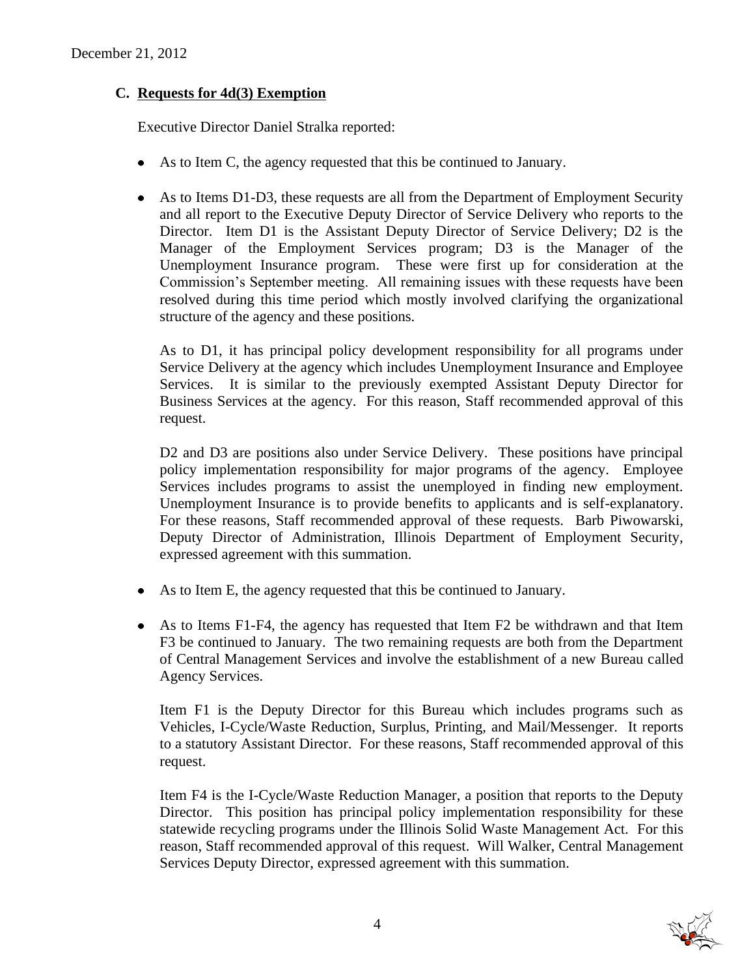# **C. Requests for 4d(3) Exemption**

Executive Director Daniel Stralka reported:

- As to Item C, the agency requested that this be continued to January.
- As to Items D1-D3, these requests are all from the Department of Employment Security and all report to the Executive Deputy Director of Service Delivery who reports to the Director. Item D1 is the Assistant Deputy Director of Service Delivery; D2 is the Manager of the Employment Services program; D3 is the Manager of the Unemployment Insurance program. These were first up for consideration at the Commission's September meeting. All remaining issues with these requests have been resolved during this time period which mostly involved clarifying the organizational structure of the agency and these positions.

As to D1, it has principal policy development responsibility for all programs under Service Delivery at the agency which includes Unemployment Insurance and Employee Services. It is similar to the previously exempted Assistant Deputy Director for Business Services at the agency. For this reason, Staff recommended approval of this request.

D2 and D3 are positions also under Service Delivery. These positions have principal policy implementation responsibility for major programs of the agency. Employee Services includes programs to assist the unemployed in finding new employment. Unemployment Insurance is to provide benefits to applicants and is self-explanatory. For these reasons, Staff recommended approval of these requests. Barb Piwowarski, Deputy Director of Administration, Illinois Department of Employment Security, expressed agreement with this summation.

- As to Item E, the agency requested that this be continued to January.
- As to Items F1-F4, the agency has requested that Item F2 be withdrawn and that Item F3 be continued to January. The two remaining requests are both from the Department of Central Management Services and involve the establishment of a new Bureau called Agency Services.

Item F1 is the Deputy Director for this Bureau which includes programs such as Vehicles, I-Cycle/Waste Reduction, Surplus, Printing, and Mail/Messenger. It reports to a statutory Assistant Director. For these reasons, Staff recommended approval of this request.

Item F4 is the I-Cycle/Waste Reduction Manager, a position that reports to the Deputy Director. This position has principal policy implementation responsibility for these statewide recycling programs under the Illinois Solid Waste Management Act. For this reason, Staff recommended approval of this request. Will Walker, Central Management Services Deputy Director, expressed agreement with this summation.

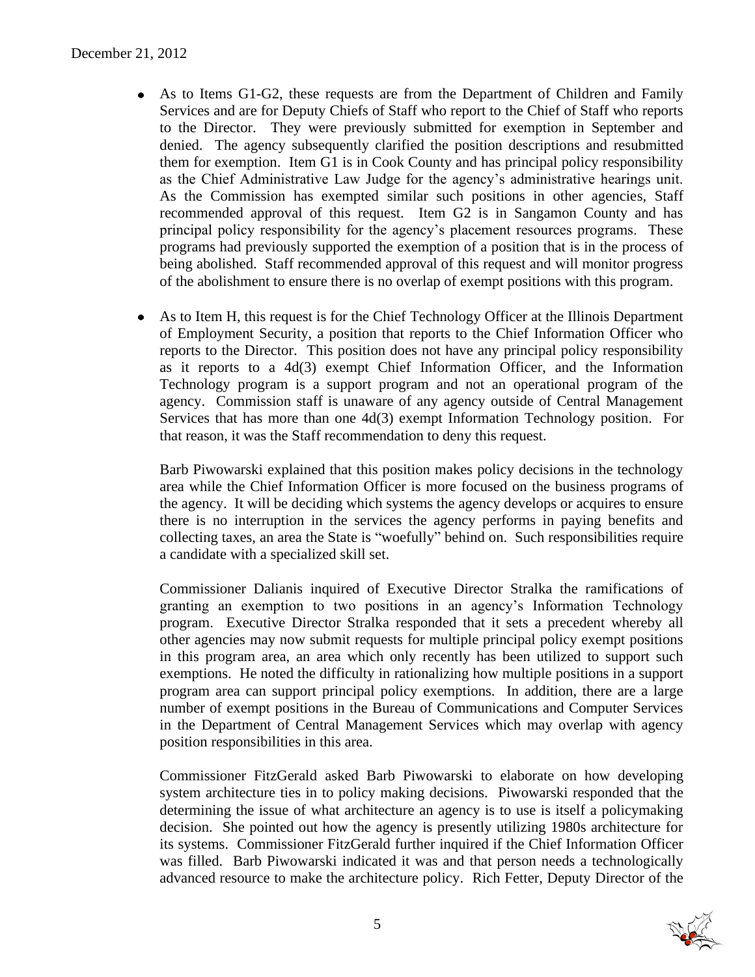- As to Items G1-G2, these requests are from the Department of Children and Family Services and are for Deputy Chiefs of Staff who report to the Chief of Staff who reports to the Director. They were previously submitted for exemption in September and denied. The agency subsequently clarified the position descriptions and resubmitted them for exemption. Item G1 is in Cook County and has principal policy responsibility as the Chief Administrative Law Judge for the agency's administrative hearings unit. As the Commission has exempted similar such positions in other agencies, Staff recommended approval of this request. Item G2 is in Sangamon County and has principal policy responsibility for the agency's placement resources programs. These programs had previously supported the exemption of a position that is in the process of being abolished. Staff recommended approval of this request and will monitor progress of the abolishment to ensure there is no overlap of exempt positions with this program.
- As to Item H, this request is for the Chief Technology Officer at the Illinois Department of Employment Security, a position that reports to the Chief Information Officer who reports to the Director. This position does not have any principal policy responsibility as it reports to a 4d(3) exempt Chief Information Officer, and the Information Technology program is a support program and not an operational program of the agency. Commission staff is unaware of any agency outside of Central Management Services that has more than one 4d(3) exempt Information Technology position. For that reason, it was the Staff recommendation to deny this request.

Barb Piwowarski explained that this position makes policy decisions in the technology area while the Chief Information Officer is more focused on the business programs of the agency. It will be deciding which systems the agency develops or acquires to ensure there is no interruption in the services the agency performs in paying benefits and collecting taxes, an area the State is "woefully" behind on. Such responsibilities require a candidate with a specialized skill set.

Commissioner Dalianis inquired of Executive Director Stralka the ramifications of granting an exemption to two positions in an agency's Information Technology program. Executive Director Stralka responded that it sets a precedent whereby all other agencies may now submit requests for multiple principal policy exempt positions in this program area, an area which only recently has been utilized to support such exemptions. He noted the difficulty in rationalizing how multiple positions in a support program area can support principal policy exemptions. In addition, there are a large number of exempt positions in the Bureau of Communications and Computer Services in the Department of Central Management Services which may overlap with agency position responsibilities in this area.

Commissioner FitzGerald asked Barb Piwowarski to elaborate on how developing system architecture ties in to policy making decisions. Piwowarski responded that the determining the issue of what architecture an agency is to use is itself a policymaking decision. She pointed out how the agency is presently utilizing 1980s architecture for its systems. Commissioner FitzGerald further inquired if the Chief Information Officer was filled. Barb Piwowarski indicated it was and that person needs a technologically advanced resource to make the architecture policy. Rich Fetter, Deputy Director of the

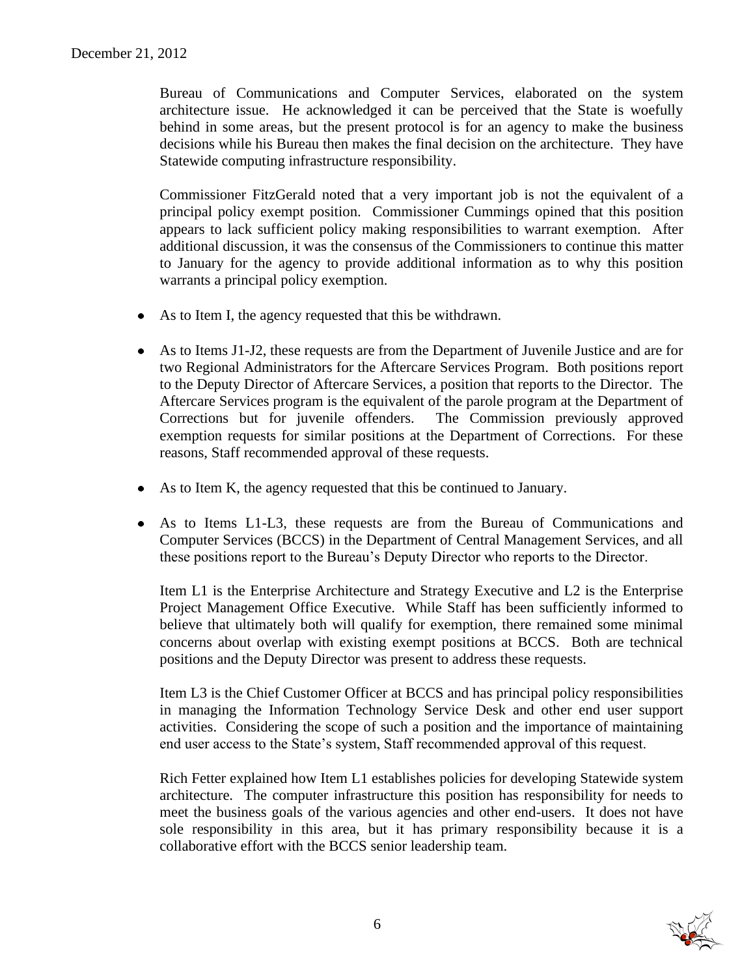Bureau of Communications and Computer Services, elaborated on the system architecture issue. He acknowledged it can be perceived that the State is woefully behind in some areas, but the present protocol is for an agency to make the business decisions while his Bureau then makes the final decision on the architecture. They have Statewide computing infrastructure responsibility.

Commissioner FitzGerald noted that a very important job is not the equivalent of a principal policy exempt position. Commissioner Cummings opined that this position appears to lack sufficient policy making responsibilities to warrant exemption. After additional discussion, it was the consensus of the Commissioners to continue this matter to January for the agency to provide additional information as to why this position warrants a principal policy exemption.

- As to Item I, the agency requested that this be withdrawn.
- As to Items J1-J2, these requests are from the Department of Juvenile Justice and are for two Regional Administrators for the Aftercare Services Program. Both positions report to the Deputy Director of Aftercare Services, a position that reports to the Director. The Aftercare Services program is the equivalent of the parole program at the Department of Corrections but for juvenile offenders. The Commission previously approved exemption requests for similar positions at the Department of Corrections. For these reasons, Staff recommended approval of these requests.
- As to Item K, the agency requested that this be continued to January.
- As to Items L1-L3, these requests are from the Bureau of Communications and Computer Services (BCCS) in the Department of Central Management Services, and all these positions report to the Bureau's Deputy Director who reports to the Director.

Item L1 is the Enterprise Architecture and Strategy Executive and L2 is the Enterprise Project Management Office Executive. While Staff has been sufficiently informed to believe that ultimately both will qualify for exemption, there remained some minimal concerns about overlap with existing exempt positions at BCCS. Both are technical positions and the Deputy Director was present to address these requests.

Item L3 is the Chief Customer Officer at BCCS and has principal policy responsibilities in managing the Information Technology Service Desk and other end user support activities. Considering the scope of such a position and the importance of maintaining end user access to the State's system, Staff recommended approval of this request.

Rich Fetter explained how Item L1 establishes policies for developing Statewide system architecture. The computer infrastructure this position has responsibility for needs to meet the business goals of the various agencies and other end-users. It does not have sole responsibility in this area, but it has primary responsibility because it is a collaborative effort with the BCCS senior leadership team.

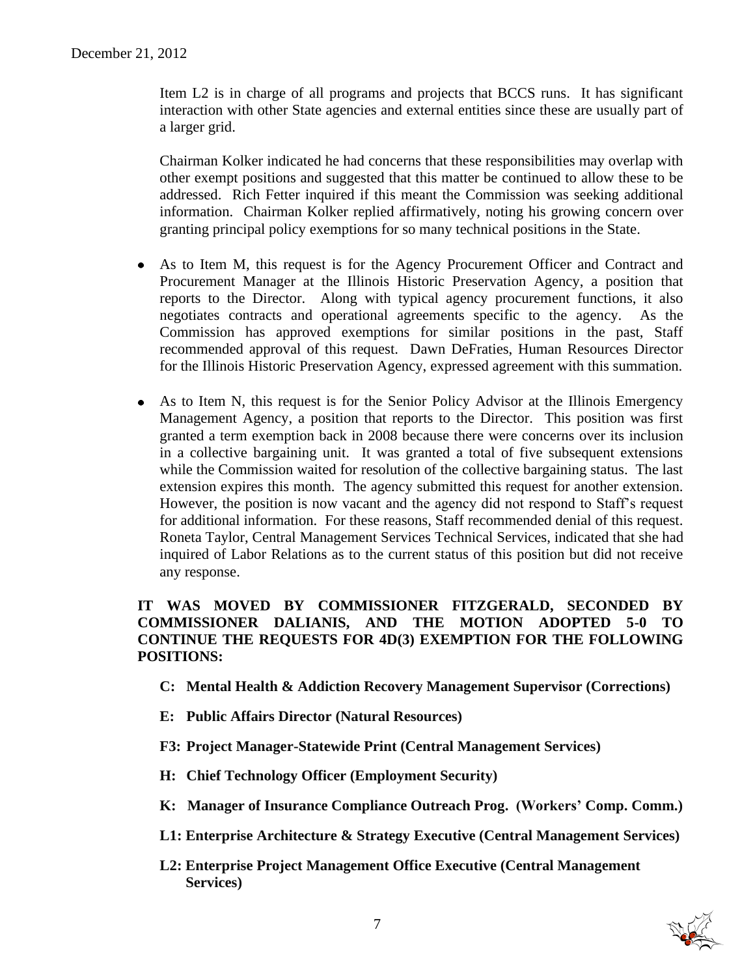Item L2 is in charge of all programs and projects that BCCS runs. It has significant interaction with other State agencies and external entities since these are usually part of a larger grid.

Chairman Kolker indicated he had concerns that these responsibilities may overlap with other exempt positions and suggested that this matter be continued to allow these to be addressed. Rich Fetter inquired if this meant the Commission was seeking additional information. Chairman Kolker replied affirmatively, noting his growing concern over granting principal policy exemptions for so many technical positions in the State.

- As to Item M, this request is for the Agency Procurement Officer and Contract and Procurement Manager at the Illinois Historic Preservation Agency, a position that reports to the Director. Along with typical agency procurement functions, it also negotiates contracts and operational agreements specific to the agency. As the Commission has approved exemptions for similar positions in the past, Staff recommended approval of this request. Dawn DeFraties, Human Resources Director for the Illinois Historic Preservation Agency, expressed agreement with this summation.
- As to Item N, this request is for the Senior Policy Advisor at the Illinois Emergency Management Agency, a position that reports to the Director. This position was first granted a term exemption back in 2008 because there were concerns over its inclusion in a collective bargaining unit. It was granted a total of five subsequent extensions while the Commission waited for resolution of the collective bargaining status. The last extension expires this month. The agency submitted this request for another extension. However, the position is now vacant and the agency did not respond to Staff's request for additional information. For these reasons, Staff recommended denial of this request. Roneta Taylor, Central Management Services Technical Services, indicated that she had inquired of Labor Relations as to the current status of this position but did not receive any response.

# **IT WAS MOVED BY COMMISSIONER FITZGERALD, SECONDED BY COMMISSIONER DALIANIS, AND THE MOTION ADOPTED 5-0 TO CONTINUE THE REQUESTS FOR 4D(3) EXEMPTION FOR THE FOLLOWING POSITIONS:**

- **C: Mental Health & Addiction Recovery Management Supervisor (Corrections)**
- **E: Public Affairs Director (Natural Resources)**
- **F3: Project Manager-Statewide Print (Central Management Services)**
- **H: Chief Technology Officer (Employment Security)**
- **K: Manager of Insurance Compliance Outreach Prog. (Workers' Comp. Comm.)**
- **L1: Enterprise Architecture & Strategy Executive (Central Management Services)**
- **L2: Enterprise Project Management Office Executive (Central Management Services)**

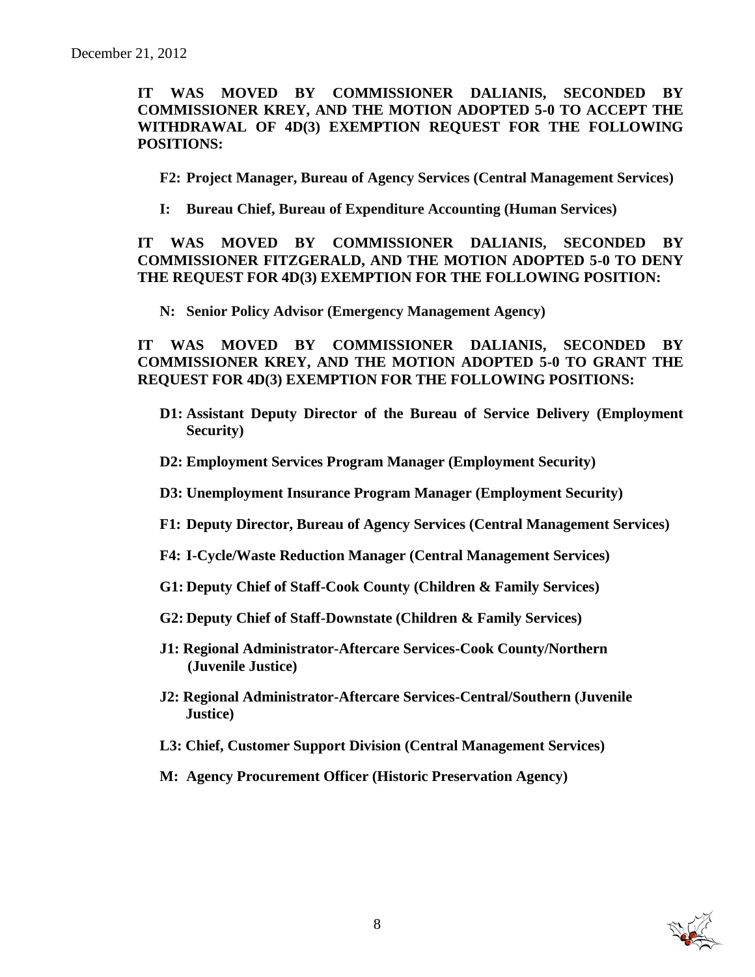**IT WAS MOVED BY COMMISSIONER DALIANIS, SECONDED BY COMMISSIONER KREY, AND THE MOTION ADOPTED 5-0 TO ACCEPT THE WITHDRAWAL OF 4D(3) EXEMPTION REQUEST FOR THE FOLLOWING POSITIONS:**

- **F2: Project Manager, Bureau of Agency Services (Central Management Services)**
- **I: Bureau Chief, Bureau of Expenditure Accounting (Human Services)**

**IT WAS MOVED BY COMMISSIONER DALIANIS, SECONDED BY COMMISSIONER FITZGERALD, AND THE MOTION ADOPTED 5-0 TO DENY THE REQUEST FOR 4D(3) EXEMPTION FOR THE FOLLOWING POSITION:**

**N: Senior Policy Advisor (Emergency Management Agency)**

**IT WAS MOVED BY COMMISSIONER DALIANIS, SECONDED BY COMMISSIONER KREY, AND THE MOTION ADOPTED 5-0 TO GRANT THE REQUEST FOR 4D(3) EXEMPTION FOR THE FOLLOWING POSITIONS:**

- **D1: Assistant Deputy Director of the Bureau of Service Delivery (Employment Security)**
- **D2: Employment Services Program Manager (Employment Security)**
- **D3: Unemployment Insurance Program Manager (Employment Security)**
- **F1: Deputy Director, Bureau of Agency Services (Central Management Services)**
- **F4: I-Cycle/Waste Reduction Manager (Central Management Services)**
- **G1: Deputy Chief of Staff-Cook County (Children & Family Services)**
- **G2: Deputy Chief of Staff-Downstate (Children & Family Services)**
- **J1: Regional Administrator-Aftercare Services-Cook County/Northern (Juvenile Justice)**
- **J2: Regional Administrator-Aftercare Services-Central/Southern (Juvenile Justice)**
- **L3: Chief, Customer Support Division (Central Management Services)**
- **M: Agency Procurement Officer (Historic Preservation Agency)**

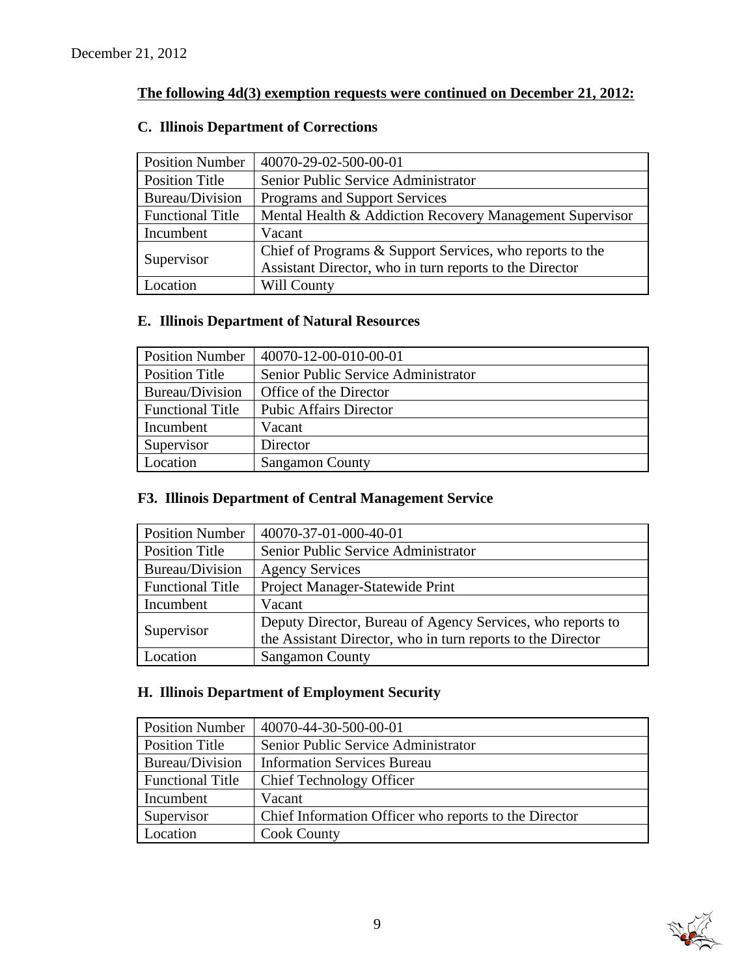# **The following 4d(3) exemption requests were continued on December 21, 2012:**

# **C. Illinois Department of Corrections**

| <b>Position Number</b>  | 40070-29-02-500-00-01                                    |
|-------------------------|----------------------------------------------------------|
| Position Title          | Senior Public Service Administrator                      |
| Bureau/Division         | Programs and Support Services                            |
| <b>Functional Title</b> | Mental Health & Addiction Recovery Management Supervisor |
| Incumbent               | Vacant                                                   |
| Supervisor              | Chief of Programs & Support Services, who reports to the |
|                         | Assistant Director, who in turn reports to the Director  |
| Location                | Will County                                              |

# **E. Illinois Department of Natural Resources**

| <b>Position Number</b>  | $ 40070-12-00-010-00-01$            |
|-------------------------|-------------------------------------|
| <b>Position Title</b>   | Senior Public Service Administrator |
| Bureau/Division         | Office of the Director              |
| <b>Functional Title</b> | <b>Pubic Affairs Director</b>       |
| Incumbent               | Vacant                              |
| Supervisor              | Director                            |
| Location                | <b>Sangamon County</b>              |

# **F3. Illinois Department of Central Management Service**

| <b>Position Number</b>  | 40070-37-01-000-40-01                                                                                                     |
|-------------------------|---------------------------------------------------------------------------------------------------------------------------|
| <b>Position Title</b>   | Senior Public Service Administrator                                                                                       |
| Bureau/Division         | <b>Agency Services</b>                                                                                                    |
| <b>Functional Title</b> | Project Manager-Statewide Print                                                                                           |
| Incumbent               | Vacant                                                                                                                    |
| Supervisor              | Deputy Director, Bureau of Agency Services, who reports to<br>the Assistant Director, who in turn reports to the Director |
| Location                | <b>Sangamon County</b>                                                                                                    |

# **H. Illinois Department of Employment Security**

| <b>Position Number</b>  | 40070-44-30-500-00-01                                 |
|-------------------------|-------------------------------------------------------|
| <b>Position Title</b>   | Senior Public Service Administrator                   |
| Bureau/Division         | <b>Information Services Bureau</b>                    |
| <b>Functional Title</b> | <b>Chief Technology Officer</b>                       |
| Incumbent               | Vacant                                                |
| Supervisor              | Chief Information Officer who reports to the Director |
| Location                | <b>Cook County</b>                                    |

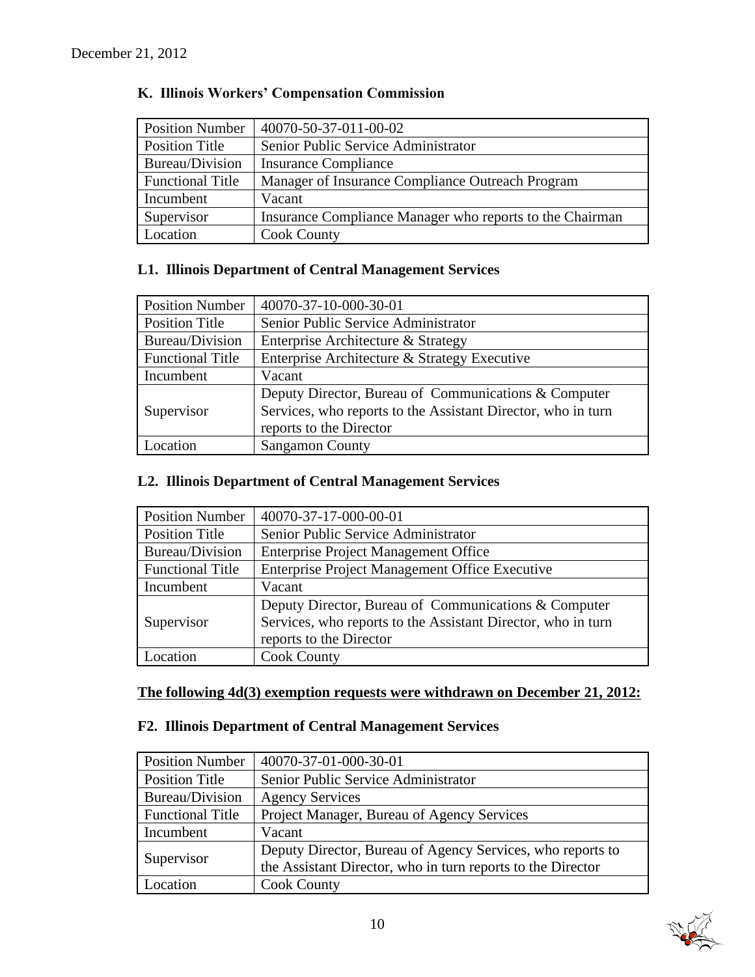| <b>Position Number</b>  | 40070-50-37-011-00-02                                    |
|-------------------------|----------------------------------------------------------|
| <b>Position Title</b>   | Senior Public Service Administrator                      |
| Bureau/Division         | <b>Insurance Compliance</b>                              |
| <b>Functional Title</b> | Manager of Insurance Compliance Outreach Program         |
| Incumbent               | Vacant                                                   |
| Supervisor              | Insurance Compliance Manager who reports to the Chairman |
| Location                | <b>Cook County</b>                                       |

# **K. Illinois Workers' Compensation Commission**

# **L1. Illinois Department of Central Management Services**

| <b>Position Number</b>  | 40070-37-10-000-30-01                                        |
|-------------------------|--------------------------------------------------------------|
| <b>Position Title</b>   | Senior Public Service Administrator                          |
| Bureau/Division         | Enterprise Architecture & Strategy                           |
| <b>Functional Title</b> | Enterprise Architecture & Strategy Executive                 |
| Incumbent               | Vacant                                                       |
|                         | Deputy Director, Bureau of Communications & Computer         |
| Supervisor              | Services, who reports to the Assistant Director, who in turn |
|                         | reports to the Director                                      |
| Location                | <b>Sangamon County</b>                                       |

# **L2. Illinois Department of Central Management Services**

| <b>Position Number</b>  | 40070-37-17-000-00-01                                        |
|-------------------------|--------------------------------------------------------------|
| <b>Position Title</b>   | Senior Public Service Administrator                          |
| Bureau/Division         | <b>Enterprise Project Management Office</b>                  |
| <b>Functional Title</b> | <b>Enterprise Project Management Office Executive</b>        |
| Incumbent               | Vacant                                                       |
|                         | Deputy Director, Bureau of Communications & Computer         |
| Supervisor              | Services, who reports to the Assistant Director, who in turn |
|                         | reports to the Director                                      |
| ocation                 | <b>Cook County</b>                                           |

# **The following 4d(3) exemption requests were withdrawn on December 21, 2012:**

# **F2. Illinois Department of Central Management Services**

| <b>Position Number</b>  | 40070-37-01-000-30-01                                                                                                     |
|-------------------------|---------------------------------------------------------------------------------------------------------------------------|
| Position Title          | Senior Public Service Administrator                                                                                       |
| Bureau/Division         | <b>Agency Services</b>                                                                                                    |
| <b>Functional Title</b> | Project Manager, Bureau of Agency Services                                                                                |
| Incumbent               | Vacant                                                                                                                    |
| Supervisor              | Deputy Director, Bureau of Agency Services, who reports to<br>the Assistant Director, who in turn reports to the Director |
| Location                | <b>Cook County</b>                                                                                                        |

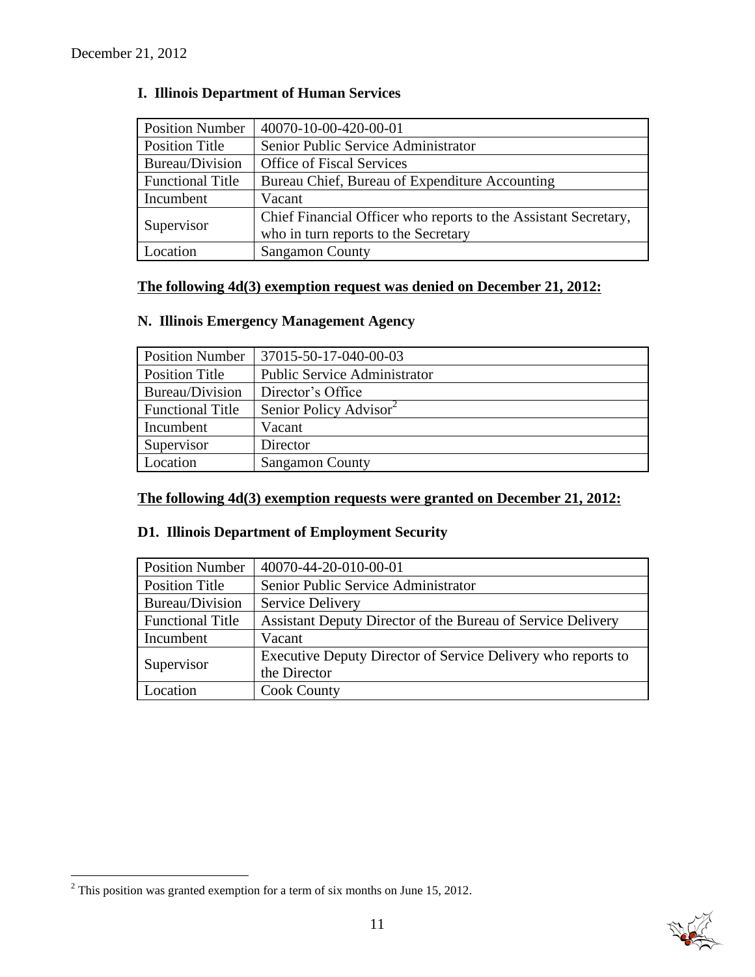| <b>Position Number</b>  | 40070-10-00-420-00-01                                           |
|-------------------------|-----------------------------------------------------------------|
| <b>Position Title</b>   | Senior Public Service Administrator                             |
| Bureau/Division         | <b>Office of Fiscal Services</b>                                |
| <b>Functional Title</b> | Bureau Chief, Bureau of Expenditure Accounting                  |
| Incumbent               | Vacant                                                          |
| Supervisor              | Chief Financial Officer who reports to the Assistant Secretary, |
|                         | who in turn reports to the Secretary                            |
| Location                | <b>Sangamon County</b>                                          |

# **I. Illinois Department of Human Services**

# **The following 4d(3) exemption request was denied on December 21, 2012:**

# **N. Illinois Emergency Management Agency**

| <b>Position Number</b>  | 37015-50-17-040-00-03               |
|-------------------------|-------------------------------------|
| <b>Position Title</b>   | <b>Public Service Administrator</b> |
| Bureau/Division         | Director's Office                   |
| <b>Functional Title</b> | Senior Policy Advisor               |
| Incumbent               | Vacant                              |
| Supervisor              | Director                            |
| Location                | <b>Sangamon County</b>              |

# **The following 4d(3) exemption requests were granted on December 21, 2012:**

# **D1. Illinois Department of Employment Security**

| <b>Position Number</b>  | 40070-44-20-010-00-01                                        |
|-------------------------|--------------------------------------------------------------|
| <b>Position Title</b>   | Senior Public Service Administrator                          |
| Bureau/Division         | <b>Service Delivery</b>                                      |
| <b>Functional Title</b> | Assistant Deputy Director of the Bureau of Service Delivery  |
| Incumbent               | Vacant                                                       |
| Supervisor              | Executive Deputy Director of Service Delivery who reports to |
|                         | the Director                                                 |
| Location                | <b>Cook County</b>                                           |

 $\overline{a}$ 



 $2^2$  This position was granted exemption for a term of six months on June 15, 2012.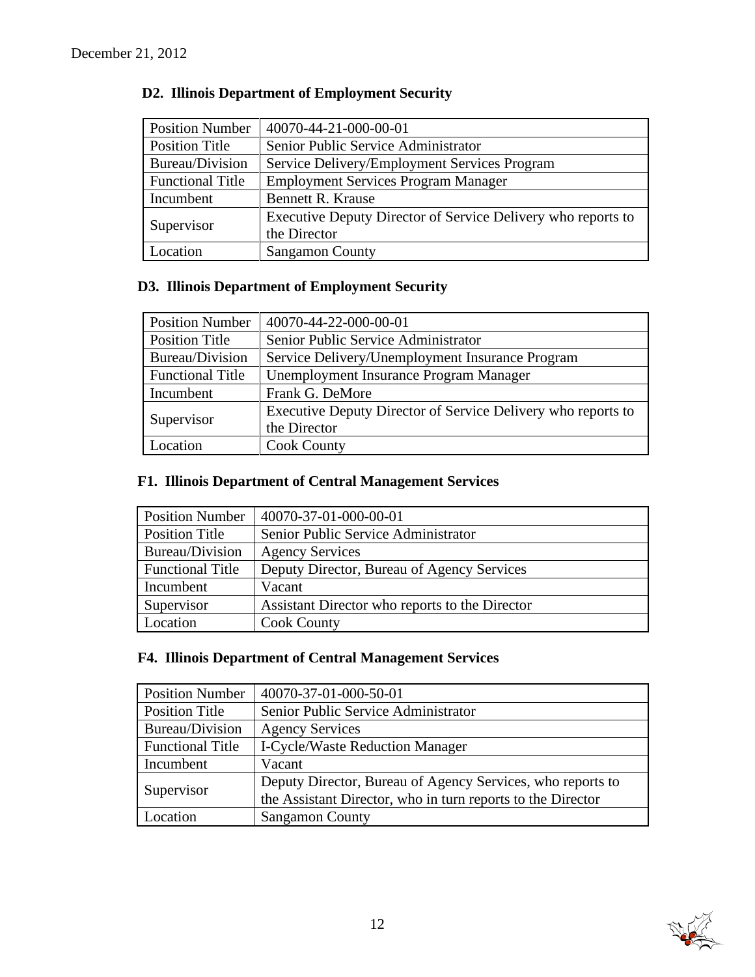| <b>Position Number</b>  | 40070-44-21-000-00-01                                        |  |  |
|-------------------------|--------------------------------------------------------------|--|--|
| <b>Position Title</b>   | Senior Public Service Administrator                          |  |  |
| Bureau/Division         | Service Delivery/Employment Services Program                 |  |  |
| <b>Functional Title</b> | <b>Employment Services Program Manager</b>                   |  |  |
| Incumbent               | <b>Bennett R. Krause</b>                                     |  |  |
| Supervisor              | Executive Deputy Director of Service Delivery who reports to |  |  |
|                         | the Director                                                 |  |  |
| Location                | <b>Sangamon County</b>                                       |  |  |

# **D2. Illinois Department of Employment Security**

# **D3. Illinois Department of Employment Security**

| <b>Position Number</b>  | 40070-44-22-000-00-01                                        |  |  |  |
|-------------------------|--------------------------------------------------------------|--|--|--|
| <b>Position Title</b>   | Senior Public Service Administrator                          |  |  |  |
| Bureau/Division         | Service Delivery/Unemployment Insurance Program              |  |  |  |
| <b>Functional Title</b> | Unemployment Insurance Program Manager                       |  |  |  |
| Incumbent               | Frank G. DeMore                                              |  |  |  |
| Supervisor              | Executive Deputy Director of Service Delivery who reports to |  |  |  |
|                         | the Director                                                 |  |  |  |
| Location                | <b>Cook County</b>                                           |  |  |  |

# **F1. Illinois Department of Central Management Services**

| <b>Position Number</b>  | 40070-37-01-000-00-01                          |
|-------------------------|------------------------------------------------|
| <b>Position Title</b>   | Senior Public Service Administrator            |
| Bureau/Division         | <b>Agency Services</b>                         |
| <b>Functional Title</b> | Deputy Director, Bureau of Agency Services     |
| Incumbent               | Vacant                                         |
| Supervisor              | Assistant Director who reports to the Director |
| Location                | <b>Cook County</b>                             |

# **F4. Illinois Department of Central Management Services**

| <b>Position Number</b>  | 40070-37-01-000-50-01                                       |  |  |  |
|-------------------------|-------------------------------------------------------------|--|--|--|
| <b>Position Title</b>   | Senior Public Service Administrator                         |  |  |  |
| Bureau/Division         | <b>Agency Services</b>                                      |  |  |  |
| <b>Functional Title</b> | <b>I-Cycle/Waste Reduction Manager</b>                      |  |  |  |
| Incumbent               | Vacant                                                      |  |  |  |
| Supervisor              | Deputy Director, Bureau of Agency Services, who reports to  |  |  |  |
|                         | the Assistant Director, who in turn reports to the Director |  |  |  |
| Location                | <b>Sangamon County</b>                                      |  |  |  |

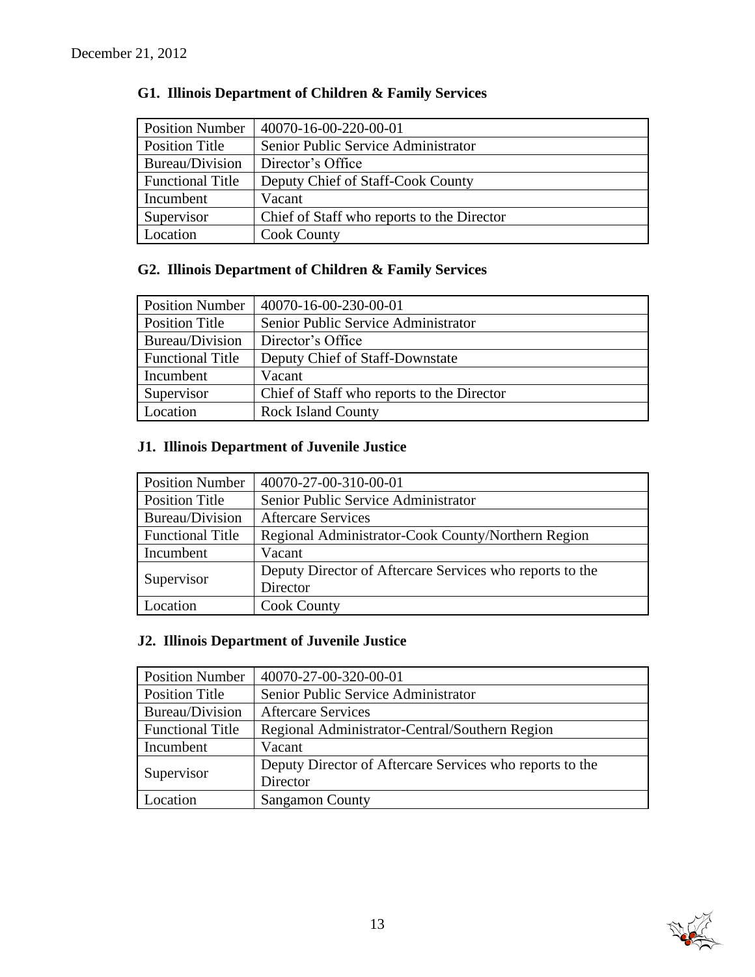| <b>Position Number</b>  | 40070-16-00-220-00-01                      |
|-------------------------|--------------------------------------------|
| Position Title          | Senior Public Service Administrator        |
| Bureau/Division         | Director's Office                          |
| <b>Functional Title</b> | Deputy Chief of Staff-Cook County          |
| Incumbent               | Vacant                                     |
| Supervisor              | Chief of Staff who reports to the Director |
| Location                | <b>Cook County</b>                         |

# **G1. Illinois Department of Children & Family Services**

# **G2. Illinois Department of Children & Family Services**

| <b>Position Number</b>  | $ 40070-16-00-230-00-01$                   |
|-------------------------|--------------------------------------------|
| Position Title          | Senior Public Service Administrator        |
| Bureau/Division         | Director's Office                          |
| <b>Functional Title</b> | Deputy Chief of Staff-Downstate            |
| Incumbent               | Vacant                                     |
| Supervisor              | Chief of Staff who reports to the Director |
| Location                | <b>Rock Island County</b>                  |

# **J1. Illinois Department of Juvenile Justice**

| <b>Position Number</b>  | 40070-27-00-310-00-01                                    |  |  |  |
|-------------------------|----------------------------------------------------------|--|--|--|
| <b>Position Title</b>   | Senior Public Service Administrator                      |  |  |  |
| Bureau/Division         | <b>Aftercare Services</b>                                |  |  |  |
| <b>Functional Title</b> | Regional Administrator-Cook County/Northern Region       |  |  |  |
| Incumbent               | Vacant                                                   |  |  |  |
| Supervisor              | Deputy Director of Aftercare Services who reports to the |  |  |  |
|                         | Director                                                 |  |  |  |
| Location                | <b>Cook County</b>                                       |  |  |  |

# **J2. Illinois Department of Juvenile Justice**

| <b>Position Number</b>  | 40070-27-00-320-00-01                                    |  |  |  |
|-------------------------|----------------------------------------------------------|--|--|--|
| <b>Position Title</b>   | Senior Public Service Administrator                      |  |  |  |
| Bureau/Division         | <b>Aftercare Services</b>                                |  |  |  |
| <b>Functional Title</b> | Regional Administrator-Central/Southern Region           |  |  |  |
| Incumbent               | Vacant                                                   |  |  |  |
| Supervisor              | Deputy Director of Aftercare Services who reports to the |  |  |  |
|                         | Director                                                 |  |  |  |
| Location                | <b>Sangamon County</b>                                   |  |  |  |

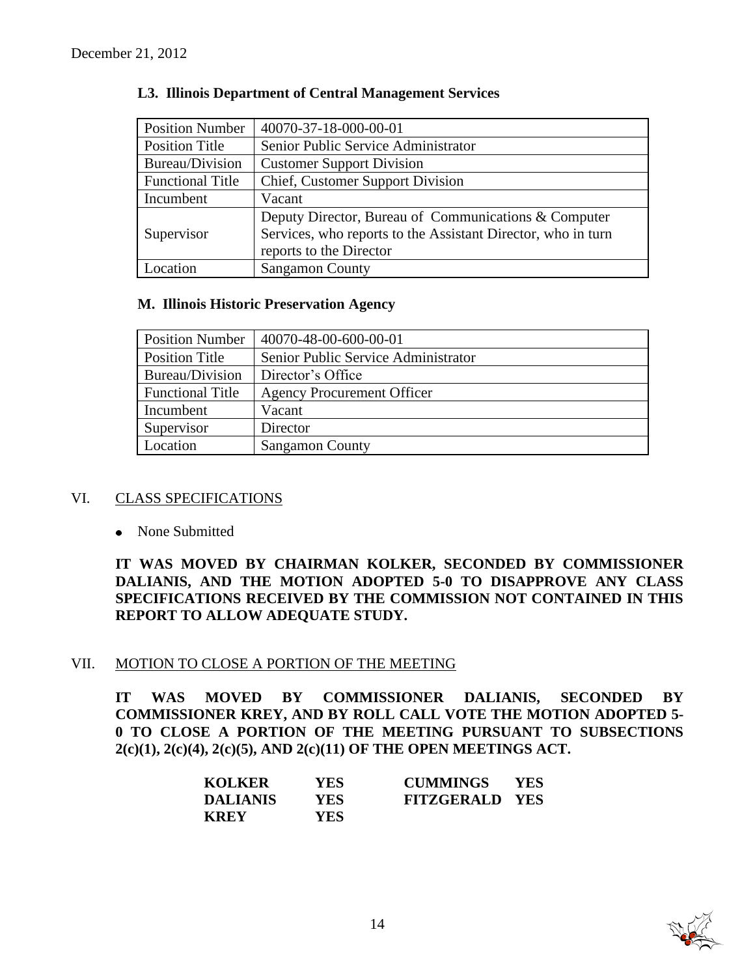| <b>Position Number</b>  | 40070-37-18-000-00-01                                        |  |  |
|-------------------------|--------------------------------------------------------------|--|--|
| <b>Position Title</b>   | Senior Public Service Administrator                          |  |  |
| Bureau/Division         | <b>Customer Support Division</b>                             |  |  |
| <b>Functional Title</b> | Chief, Customer Support Division                             |  |  |
| Incumbent               | Vacant                                                       |  |  |
|                         | Deputy Director, Bureau of Communications & Computer         |  |  |
| Supervisor              | Services, who reports to the Assistant Director, who in turn |  |  |
|                         | reports to the Director                                      |  |  |
| Location                | <b>Sangamon County</b>                                       |  |  |

#### **L3. Illinois Department of Central Management Services**

#### **M. Illinois Historic Preservation Agency**

| <b>Position Number</b>  | 40070-48-00-600-00-01               |
|-------------------------|-------------------------------------|
| Position Title          | Senior Public Service Administrator |
| Bureau/Division         | Director's Office                   |
| <b>Functional Title</b> | <b>Agency Procurement Officer</b>   |
| Incumbent               | Vacant                              |
| Supervisor              | Director                            |
| Location                | <b>Sangamon County</b>              |

# VI. CLASS SPECIFICATIONS

• None Submitted

**IT WAS MOVED BY CHAIRMAN KOLKER, SECONDED BY COMMISSIONER DALIANIS, AND THE MOTION ADOPTED 5-0 TO DISAPPROVE ANY CLASS SPECIFICATIONS RECEIVED BY THE COMMISSION NOT CONTAINED IN THIS REPORT TO ALLOW ADEQUATE STUDY.** 

# VII. MOTION TO CLOSE A PORTION OF THE MEETING

**IT WAS MOVED BY COMMISSIONER DALIANIS, SECONDED BY COMMISSIONER KREY, AND BY ROLL CALL VOTE THE MOTION ADOPTED 5- 0 TO CLOSE A PORTION OF THE MEETING PURSUANT TO SUBSECTIONS 2(c)(1), 2(c)(4), 2(c)(5), AND 2(c)(11) OF THE OPEN MEETINGS ACT.**

| KOLKER          | YES. | <b>CUMMINGS</b>       | <b>YES</b> |
|-----------------|------|-----------------------|------------|
| <b>DALIANIS</b> | YES- | <b>FITZGERALD YES</b> |            |
| <b>KREY</b>     | YES- |                       |            |

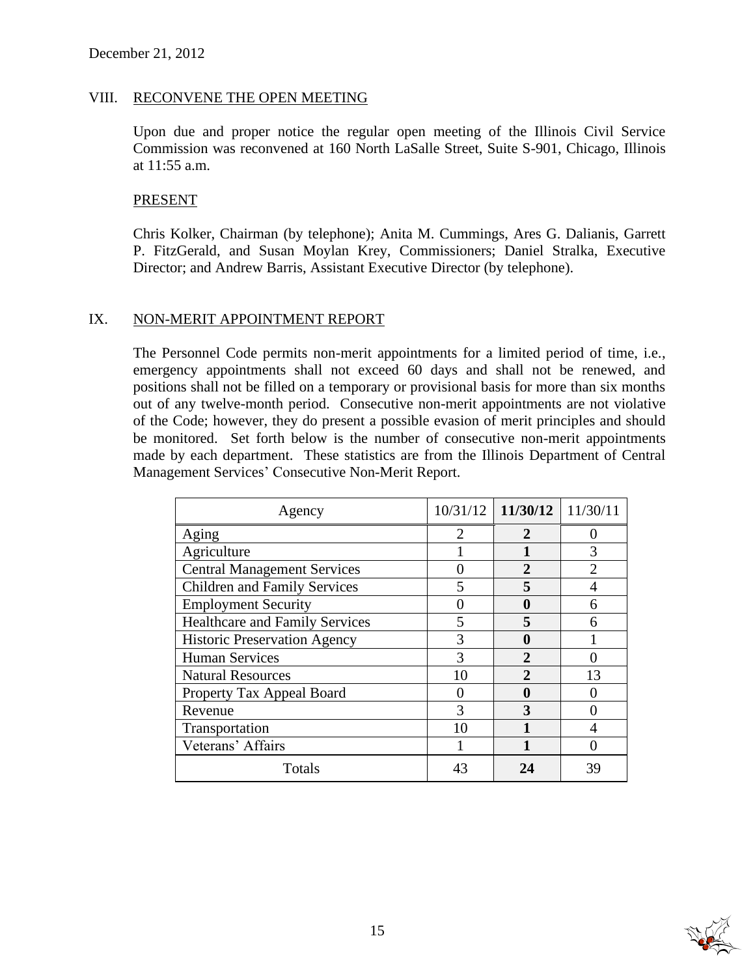#### VIII. RECONVENE THE OPEN MEETING

Upon due and proper notice the regular open meeting of the Illinois Civil Service Commission was reconvened at 160 North LaSalle Street, Suite S-901, Chicago, Illinois at 11:55 a.m.

#### PRESENT

Chris Kolker, Chairman (by telephone); Anita M. Cummings, Ares G. Dalianis, Garrett P. FitzGerald, and Susan Moylan Krey, Commissioners; Daniel Stralka, Executive Director; and Andrew Barris, Assistant Executive Director (by telephone).

#### IX. NON-MERIT APPOINTMENT REPORT

The Personnel Code permits non-merit appointments for a limited period of time, i.e., emergency appointments shall not exceed 60 days and shall not be renewed, and positions shall not be filled on a temporary or provisional basis for more than six months out of any twelve-month period. Consecutive non-merit appointments are not violative of the Code; however, they do present a possible evasion of merit principles and should be monitored. Set forth below is the number of consecutive non-merit appointments made by each department. These statistics are from the Illinois Department of Central Management Services' Consecutive Non-Merit Report.

| Agency                                |    | $10/31/12$ 11/30/12 | 11/30/11 |
|---------------------------------------|----|---------------------|----------|
| Aging                                 |    |                     |          |
| Agriculture                           |    |                     | 3        |
| <b>Central Management Services</b>    |    | $\overline{2}$      |          |
| <b>Children and Family Services</b>   |    | 5                   |          |
| <b>Employment Security</b>            |    | O                   |          |
| <b>Healthcare and Family Services</b> |    | 5                   |          |
| <b>Historic Preservation Agency</b>   |    |                     |          |
| <b>Human Services</b>                 | 3  | $\overline{2}$      |          |
| <b>Natural Resources</b>              | 10 | $\mathfrak{D}$      | 13       |
| Property Tax Appeal Board             |    |                     |          |
| Revenue                               |    | 3                   |          |
| Transportation                        | 10 |                     |          |
| Veterans' Affairs                     |    |                     |          |
| Totals                                | 43 | 24                  | 39       |

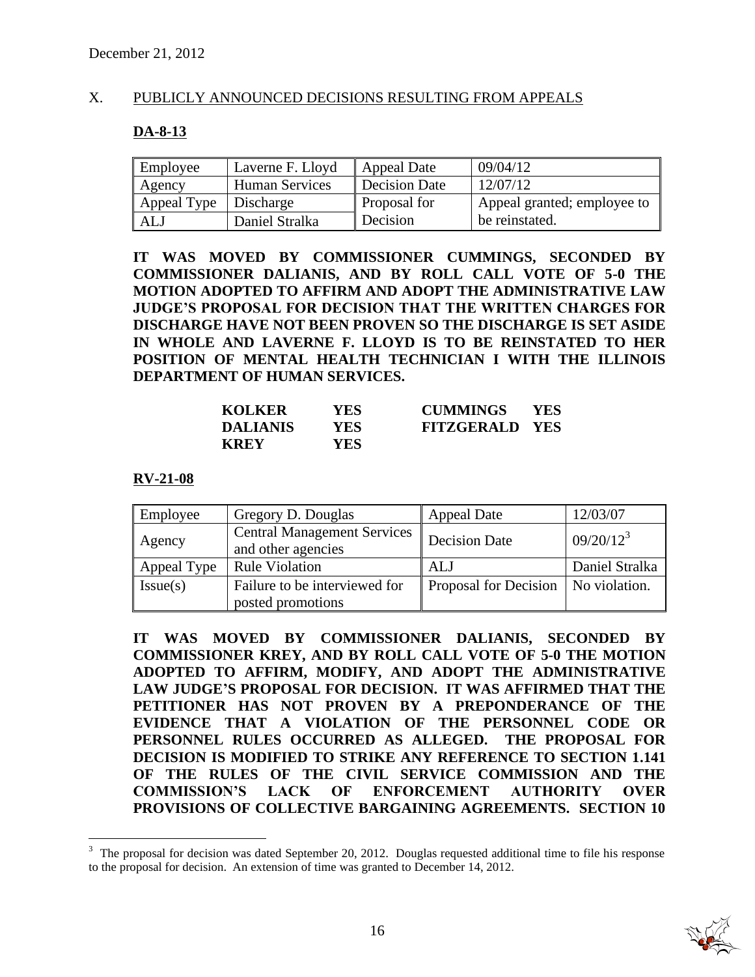#### X. PUBLICLY ANNOUNCED DECISIONS RESULTING FROM APPEALS

#### **DA-8-13**

| Employee    | Laverne F. Lloyd      | Appeal Date          | 09/04/12                    |
|-------------|-----------------------|----------------------|-----------------------------|
| Agency      | <b>Human Services</b> | <b>Decision Date</b> | 12/07/12                    |
| Appeal Type | Discharge             | Proposal for         | Appeal granted; employee to |
| <b>ALJ</b>  | Daniel Stralka        | Decision             | be reinstated.              |

**IT WAS MOVED BY COMMISSIONER CUMMINGS, SECONDED BY COMMISSIONER DALIANIS, AND BY ROLL CALL VOTE OF 5-0 THE MOTION ADOPTED TO AFFIRM AND ADOPT THE ADMINISTRATIVE LAW JUDGE'S PROPOSAL FOR DECISION THAT THE WRITTEN CHARGES FOR DISCHARGE HAVE NOT BEEN PROVEN SO THE DISCHARGE IS SET ASIDE IN WHOLE AND LAVERNE F. LLOYD IS TO BE REINSTATED TO HER POSITION OF MENTAL HEALTH TECHNICIAN I WITH THE ILLINOIS DEPARTMENT OF HUMAN SERVICES.** 

| <b>KOLKER</b>   | YES. | <b>CUMMINGS</b>       | <b>YES</b> |
|-----------------|------|-----------------------|------------|
| <b>DALIANIS</b> | YES. | <b>FITZGERALD YES</b> |            |
| <b>KREY</b>     | YES  |                       |            |

#### **RV-21-08**

 $\overline{a}$ 

| Employee    | Gregory D. Douglas                                       | <b>Appeal Date</b>                    | 12/03/07       |
|-------------|----------------------------------------------------------|---------------------------------------|----------------|
| Agency      | <b>Central Management Services</b><br>and other agencies | <b>Decision Date</b>                  | $09/20/12^3$   |
| Appeal Type | <b>Rule Violation</b>                                    | ALJ                                   | Daniel Stralka |
| Issue(s)    | Failure to be interviewed for<br>posted promotions       | Proposal for Decision   No violation. |                |

**IT WAS MOVED BY COMMISSIONER DALIANIS, SECONDED BY COMMISSIONER KREY, AND BY ROLL CALL VOTE OF 5-0 THE MOTION ADOPTED TO AFFIRM, MODIFY, AND ADOPT THE ADMINISTRATIVE LAW JUDGE'S PROPOSAL FOR DECISION. IT WAS AFFIRMED THAT THE PETITIONER HAS NOT PROVEN BY A PREPONDERANCE OF THE EVIDENCE THAT A VIOLATION OF THE PERSONNEL CODE OR PERSONNEL RULES OCCURRED AS ALLEGED. THE PROPOSAL FOR DECISION IS MODIFIED TO STRIKE ANY REFERENCE TO SECTION 1.141 OF THE RULES OF THE CIVIL SERVICE COMMISSION AND THE COMMISSION'S LACK OF ENFORCEMENT AUTHORITY OVER PROVISIONS OF COLLECTIVE BARGAINING AGREEMENTS. SECTION 10** 

<sup>3</sup> The proposal for decision was dated September 20, 2012. Douglas requested additional time to file his response to the proposal for decision. An extension of time was granted to December 14, 2012.

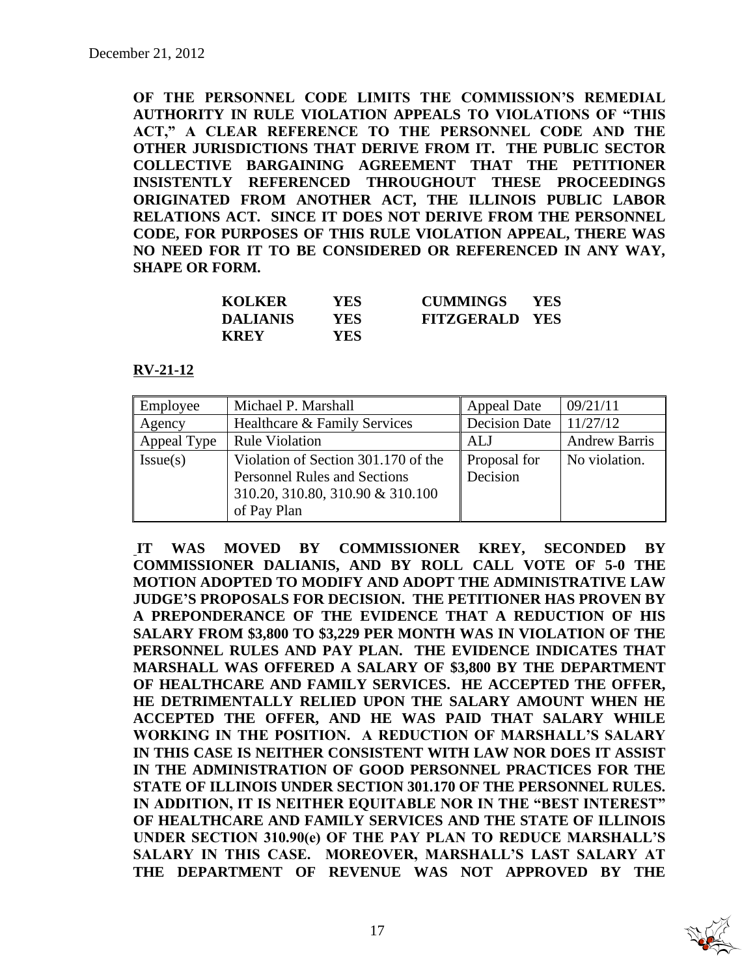**OF THE PERSONNEL CODE LIMITS THE COMMISSION'S REMEDIAL AUTHORITY IN RULE VIOLATION APPEALS TO VIOLATIONS OF "THIS ACT," A CLEAR REFERENCE TO THE PERSONNEL CODE AND THE OTHER JURISDICTIONS THAT DERIVE FROM IT. THE PUBLIC SECTOR COLLECTIVE BARGAINING AGREEMENT THAT THE PETITIONER INSISTENTLY REFERENCED THROUGHOUT THESE PROCEEDINGS ORIGINATED FROM ANOTHER ACT, THE ILLINOIS PUBLIC LABOR RELATIONS ACT. SINCE IT DOES NOT DERIVE FROM THE PERSONNEL CODE, FOR PURPOSES OF THIS RULE VIOLATION APPEAL, THERE WAS NO NEED FOR IT TO BE CONSIDERED OR REFERENCED IN ANY WAY, SHAPE OR FORM.**

| <b>KOLKER</b>   | YES.       | <b>CUMMINGS</b>       | <b>YES</b> |
|-----------------|------------|-----------------------|------------|
| <b>DALIANIS</b> | YES.       | <b>FITZGERALD YES</b> |            |
| <b>KREY</b>     | <b>YES</b> |                       |            |

**RV-21-12**

| Employee    | Michael P. Marshall                 | <b>Appeal Date</b>   | 09/21/11             |
|-------------|-------------------------------------|----------------------|----------------------|
| Agency      | Healthcare & Family Services        | <b>Decision Date</b> | 11/27/12             |
| Appeal Type | <b>Rule Violation</b>               | <b>ALJ</b>           | <b>Andrew Barris</b> |
| Issue(s)    | Violation of Section 301.170 of the | Proposal for         | No violation.        |
|             | <b>Personnel Rules and Sections</b> | Decision             |                      |
|             | 310.20, 310.80, 310.90 & 310.100    |                      |                      |
|             | of Pay Plan                         |                      |                      |

**IT WAS MOVED BY COMMISSIONER KREY, SECONDED BY COMMISSIONER DALIANIS, AND BY ROLL CALL VOTE OF 5-0 THE MOTION ADOPTED TO MODIFY AND ADOPT THE ADMINISTRATIVE LAW JUDGE'S PROPOSALS FOR DECISION. THE PETITIONER HAS PROVEN BY A PREPONDERANCE OF THE EVIDENCE THAT A REDUCTION OF HIS SALARY FROM \$3,800 TO \$3,229 PER MONTH WAS IN VIOLATION OF THE PERSONNEL RULES AND PAY PLAN. THE EVIDENCE INDICATES THAT MARSHALL WAS OFFERED A SALARY OF \$3,800 BY THE DEPARTMENT OF HEALTHCARE AND FAMILY SERVICES. HE ACCEPTED THE OFFER, HE DETRIMENTALLY RELIED UPON THE SALARY AMOUNT WHEN HE ACCEPTED THE OFFER, AND HE WAS PAID THAT SALARY WHILE WORKING IN THE POSITION. A REDUCTION OF MARSHALL'S SALARY IN THIS CASE IS NEITHER CONSISTENT WITH LAW NOR DOES IT ASSIST IN THE ADMINISTRATION OF GOOD PERSONNEL PRACTICES FOR THE STATE OF ILLINOIS UNDER SECTION 301.170 OF THE PERSONNEL RULES. IN ADDITION, IT IS NEITHER EQUITABLE NOR IN THE "BEST INTEREST" OF HEALTHCARE AND FAMILY SERVICES AND THE STATE OF ILLINOIS UNDER SECTION 310.90(e) OF THE PAY PLAN TO REDUCE MARSHALL'S SALARY IN THIS CASE. MOREOVER, MARSHALL'S LAST SALARY AT THE DEPARTMENT OF REVENUE WAS NOT APPROVED BY THE** 

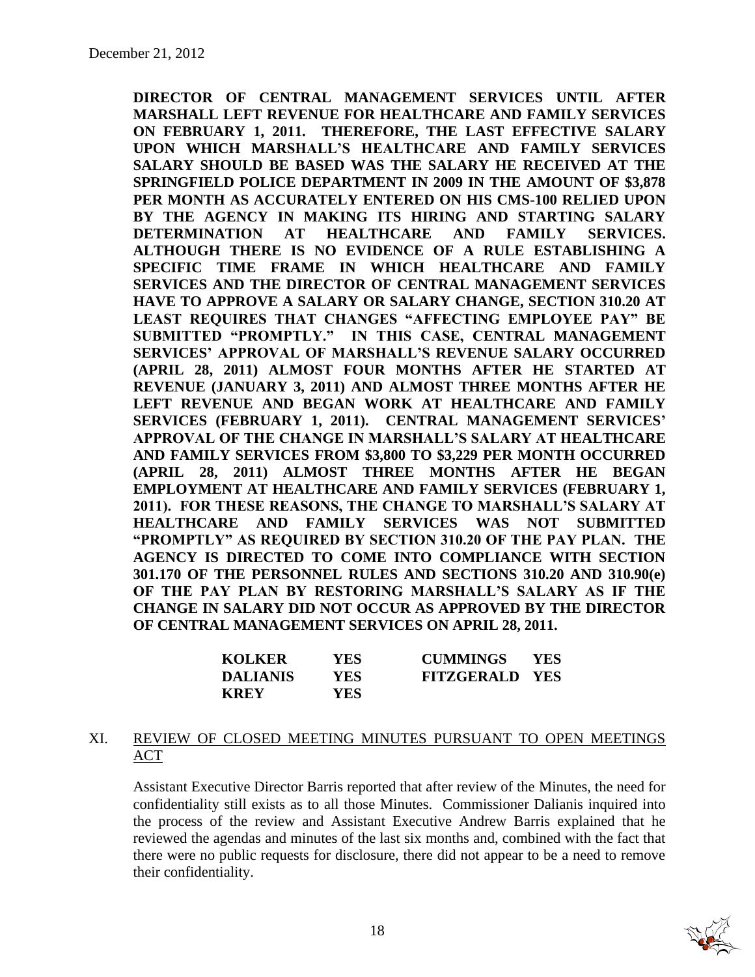**DIRECTOR OF CENTRAL MANAGEMENT SERVICES UNTIL AFTER MARSHALL LEFT REVENUE FOR HEALTHCARE AND FAMILY SERVICES ON FEBRUARY 1, 2011. THEREFORE, THE LAST EFFECTIVE SALARY UPON WHICH MARSHALL'S HEALTHCARE AND FAMILY SERVICES SALARY SHOULD BE BASED WAS THE SALARY HE RECEIVED AT THE SPRINGFIELD POLICE DEPARTMENT IN 2009 IN THE AMOUNT OF \$3,878 PER MONTH AS ACCURATELY ENTERED ON HIS CMS-100 RELIED UPON BY THE AGENCY IN MAKING ITS HIRING AND STARTING SALARY DETERMINATION AT HEALTHCARE AND FAMILY SERVICES. ALTHOUGH THERE IS NO EVIDENCE OF A RULE ESTABLISHING A SPECIFIC TIME FRAME IN WHICH HEALTHCARE AND FAMILY SERVICES AND THE DIRECTOR OF CENTRAL MANAGEMENT SERVICES HAVE TO APPROVE A SALARY OR SALARY CHANGE, SECTION 310.20 AT LEAST REQUIRES THAT CHANGES "AFFECTING EMPLOYEE PAY" BE SUBMITTED "PROMPTLY." IN THIS CASE, CENTRAL MANAGEMENT SERVICES' APPROVAL OF MARSHALL'S REVENUE SALARY OCCURRED (APRIL 28, 2011) ALMOST FOUR MONTHS AFTER HE STARTED AT REVENUE (JANUARY 3, 2011) AND ALMOST THREE MONTHS AFTER HE LEFT REVENUE AND BEGAN WORK AT HEALTHCARE AND FAMILY SERVICES (FEBRUARY 1, 2011). CENTRAL MANAGEMENT SERVICES' APPROVAL OF THE CHANGE IN MARSHALL'S SALARY AT HEALTHCARE AND FAMILY SERVICES FROM \$3,800 TO \$3,229 PER MONTH OCCURRED (APRIL 28, 2011) ALMOST THREE MONTHS AFTER HE BEGAN EMPLOYMENT AT HEALTHCARE AND FAMILY SERVICES (FEBRUARY 1, 2011). FOR THESE REASONS, THE CHANGE TO MARSHALL'S SALARY AT HEALTHCARE AND FAMILY SERVICES WAS NOT SUBMITTED "PROMPTLY" AS REQUIRED BY SECTION 310.20 OF THE PAY PLAN. THE AGENCY IS DIRECTED TO COME INTO COMPLIANCE WITH SECTION 301.170 OF THE PERSONNEL RULES AND SECTIONS 310.20 AND 310.90(e) OF THE PAY PLAN BY RESTORING MARSHALL'S SALARY AS IF THE CHANGE IN SALARY DID NOT OCCUR AS APPROVED BY THE DIRECTOR OF CENTRAL MANAGEMENT SERVICES ON APRIL 28, 2011.**

| <b>KOLKER</b> | YES        | <b>CUMMINGS</b>       | <b>YES</b> |
|---------------|------------|-----------------------|------------|
| DALIANIS      | <b>YES</b> | <b>FITZGERALD YES</b> |            |
| <b>KREY</b>   | YES.       |                       |            |

# XI. REVIEW OF CLOSED MEETING MINUTES PURSUANT TO OPEN MEETINGS ACT

Assistant Executive Director Barris reported that after review of the Minutes, the need for confidentiality still exists as to all those Minutes. Commissioner Dalianis inquired into the process of the review and Assistant Executive Andrew Barris explained that he reviewed the agendas and minutes of the last six months and, combined with the fact that there were no public requests for disclosure, there did not appear to be a need to remove their confidentiality.